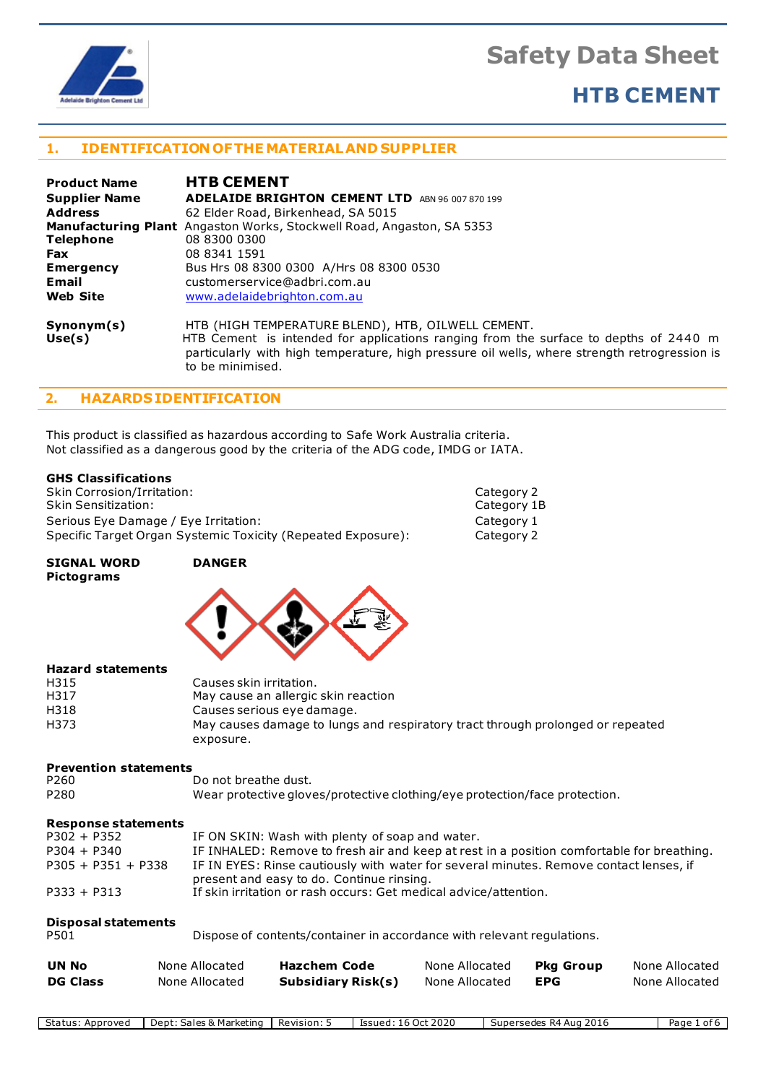

## **HTB CEMENT**

## **1. IDENTIFICATION OFTHE MATERIALAND SUPPLIER**

| <b>Product Name</b>  | <b>HTB CEMENT</b>                                                                                                                                                                                                                          |
|----------------------|--------------------------------------------------------------------------------------------------------------------------------------------------------------------------------------------------------------------------------------------|
| <b>Supplier Name</b> | <b>ADELAIDE BRIGHTON CEMENT LTD</b><br>ABN 96 007 870 199                                                                                                                                                                                  |
| <b>Address</b>       | 62 Elder Road, Birkenhead, SA 5015                                                                                                                                                                                                         |
|                      | <b>Manufacturing Plant</b> Angaston Works, Stockwell Road, Angaston, SA 5353                                                                                                                                                               |
| <b>Telephone</b>     | 08 8300 0300                                                                                                                                                                                                                               |
| <b>Fax</b>           | 08 8341 1591                                                                                                                                                                                                                               |
| <b>Emergency</b>     | Bus Hrs 08 8300 0300 A/Hrs 08 8300 0530                                                                                                                                                                                                    |
| Email                | customerservice@adbri.com.au                                                                                                                                                                                                               |
| <b>Web Site</b>      | www.adelaidebrighton.com.au                                                                                                                                                                                                                |
| Synonym(s)<br>Use(s) | HTB (HIGH TEMPERATURE BLEND), HTB, OILWELL CEMENT.<br>HTB Cement is intended for applications ranging from the surface to depths of 2440 m<br>particularly with high temperature, high pressure oil wells, where strength retrogression is |

## **2. HAZARDSIDENTIFICATION**

This product is classified as hazardous according to Safe Work Australia criteria. Not classified as a dangerous good by the criteria of the ADG code, IMDG or IATA.

## **GHS Classifications**

Skin Corrosion/Irritation: Category 2 Category 2<br>
Skin Sensitization: Category 1B Skin Sensitization: Serious Eye Damage / Eye Irritation: Category 1 Specific Target Organ Systemic Toxicity (Repeated Exposure): Category 2

to be minimised.

**SIGNAL WORD DANGER Pictograms**



## **Hazard statements**

| H315 | Causes skin irritation.                                                        |
|------|--------------------------------------------------------------------------------|
| H317 | May cause an allergic skin reaction                                            |
| H318 | Causes serious eye damage.                                                     |
| H373 | May causes damage to lungs and respiratory tract through prolonged or repeated |
|      | exposure.                                                                      |

# **Prevention statements**

Do not breathe dust. P280 Wear protective gloves/protective clothing/eye protection/face protection.

## **Response statements**

| $P302 + P352$        | IF ON SKIN: Wash with plenty of soap and water.                                                                                     |
|----------------------|-------------------------------------------------------------------------------------------------------------------------------------|
| $P304 + P340$        | IF INHALED: Remove to fresh air and keep at rest in a position comfortable for breathing.                                           |
| $P305 + P351 + P338$ | IF IN EYES: Rinse cautiously with water for several minutes. Remove contact lenses, if<br>present and easy to do. Continue rinsing. |
| $P333 + P313$        | If skin irritation or rash occurs: Get medical advice/attention.                                                                    |

## **Disposal statements**

| ۰.<br>٠<br>× |  |
|--------------|--|
|--------------|--|

Dispose of contents/container in accordance with relevant regulations.

| UN No           | None Allocated | Hazchem Code       | None Allocated | <b>Pka Group</b> | None Allocated |
|-----------------|----------------|--------------------|----------------|------------------|----------------|
| <b>DG Class</b> | None Allocated | Subsidiary Risk(s) | None Allocated | EPG              | None Allocated |

| -<br>Status<br>Approved | Sales & Marketing<br>Dent: | Revision: | 16 Oct 2020<br>Issued:<br>. . U | 2016<br>Supersedes<br>R4.<br>Aug | Page<br>0t |
|-------------------------|----------------------------|-----------|---------------------------------|----------------------------------|------------|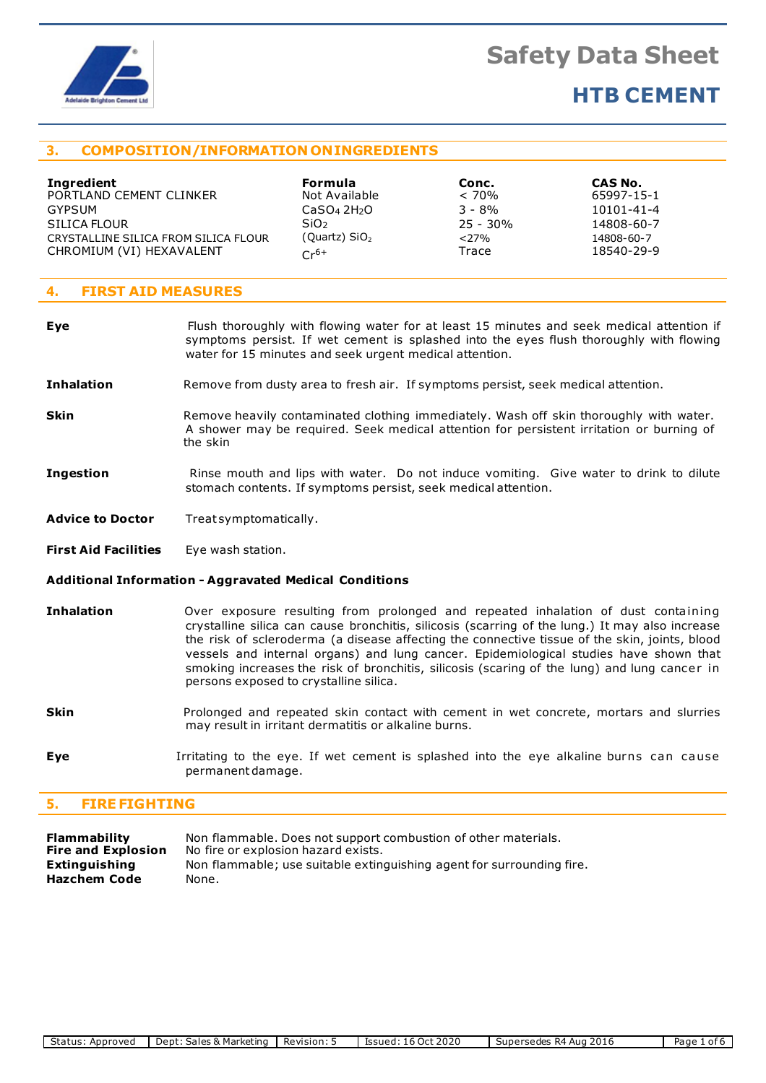

## **HTB CEMENT**

## **3. COMPOSITION/INFORMATION ONINGREDIENTS**

| <b>Ingredient</b><br>PORTLAND CEMENT CLINKER | <b>Formula</b><br>Not Available     | Conc.<br>$< 70\%$ | CAS No.<br>65997-15-1                                                                     |  |
|----------------------------------------------|-------------------------------------|-------------------|-------------------------------------------------------------------------------------------|--|
| <b>GYPSUM</b>                                | CaSO <sub>4</sub> 2H <sub>2</sub> O | $3 - 8\%$         | 10101-41-4                                                                                |  |
| SILICA FLOUR                                 | SiO <sub>2</sub>                    | $25 - 30\%$       | 14808-60-7                                                                                |  |
| CRYSTALLINE SILICA FROM SILICA FLOUR         | (Quartz) $SiO2$                     | $<$ 27%           | 14808-60-7                                                                                |  |
| CHROMIUM (VI) HEXAVALENT                     | $Cr^{6+}$                           | Trace             | 18540-29-9                                                                                |  |
|                                              |                                     |                   |                                                                                           |  |
| <b>FIRST AID MEASURES</b><br>4.              |                                     |                   |                                                                                           |  |
|                                              |                                     |                   |                                                                                           |  |
| Eve                                          |                                     |                   | Flush thoroughly with flowing water for at least 15 minutes and seek medical attention if |  |

- **Eye Figust** Flush thoroughly with flowing water for at least 15 minutes and seek medical attention if symptoms persist. If wet cement is splashed into the eyes flush thoroughly with flowing water for 15 minutes and seek urgent medical attention.
- **Inhalation** Remove from dusty area to fresh air. If symptoms persist, seek medical attention.
- **Skin** Remove heavily contaminated clothing immediately. Wash off skin thoroughly with water. A shower may be required. Seek medical attention for persistent irritation or burning of the skin
- **Ingestion Rinse mouth and lips with water.** Do not induce vomiting. Give water to drink to dilute stomach contents. If symptoms persist, seek medical attention.
- **Advice to Doctor** Treat symptomatically.
- **First Aid Facilities** Eye wash station.

## **Additional Information - Aggravated Medical Conditions**

- **Inhalation Over exposure resulting from prolonged and repeated inhalation of dust containing** crystalline silica can cause bronchitis, silicosis (scarring of the lung.) It may also increase the risk of scleroderma (a disease affecting the connective tissue of the skin, joints, blood vessels and internal organs) and lung cancer. Epidemiological studies have shown that smoking increases the risk of bronchitis, silicosis (scaring of the lung) and lung cancer in persons exposed to crystalline silica.
- **Skin Prolonged and repeated skin contact with cement in wet concrete, mortars and slurries** may result in irritant dermatitis or alkaline burns.
- **Eye I**rritating to the eye. If wet cement is splashed into the eye alkaline burns can cause permanentdamage.

## **5. FIREFIGHTING**

| Flammability              | Non flammable. Does not support combustion of other materials.        |
|---------------------------|-----------------------------------------------------------------------|
| <b>Fire and Explosion</b> | No fire or explosion hazard exists.                                   |
| Extinguishing             | Non flammable; use suitable extinguishing agent for surrounding fire. |
| Hazchem Code              | None.                                                                 |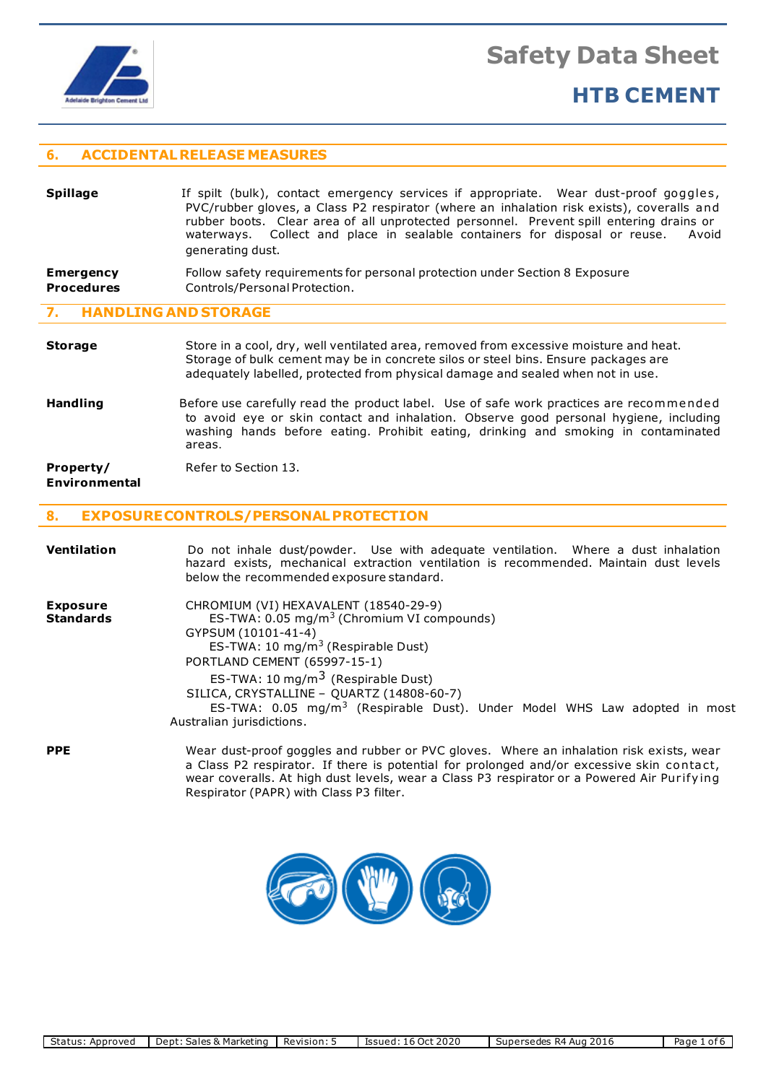

**Procedures**

**Safety Data Sheet**

## **HTB CEMENT**

## **6. ACCIDENTALRELEASE MEASURES**

| <b>Spillage</b>  | If spilt (bulk), contact emergency services if appropriate. Wear dust-proof goggles,<br>PVC/rubber gloves, a Class P2 respirator (where an inhalation risk exists), coveralls and<br>rubber boots. Clear area of all unprotected personnel. Prevent spill entering drains or<br>waterways. Collect and place in sealable containers for disposal or reuse.<br>Avoid<br>generating dust. |
|------------------|-----------------------------------------------------------------------------------------------------------------------------------------------------------------------------------------------------------------------------------------------------------------------------------------------------------------------------------------------------------------------------------------|
|                  |                                                                                                                                                                                                                                                                                                                                                                                         |
| <b>Emergency</b> | Follow safety requirements for personal protection under Section 8 Exposure                                                                                                                                                                                                                                                                                                             |

## **7. HANDLING AND STORAGE**

## **Storage** Store in a cool, dry, well ventilated area, removed from excessive moisture and heat. Storage of bulk cement may be in concrete silos or steel bins. Ensure packages are adequately labelled, protected from physical damage and sealed when not in use.

**Handling** Before use carefully read the product label. Use of safe work practices are recommended to avoid eye or skin contact and inhalation. Observe good personal hygiene, including washing hands before eating. Prohibit eating, drinking and smoking in contaminated areas.

**Property/** Refer to Section 13. **Environmental**

## **8. EXPOSURECONTROLS/PERSONALPROTECTION**

Controls/Personal Protection.

| <b>Ventilation</b>                  | Do not inhale dust/powder. Use with adequate ventilation. Where a dust inhalation<br>hazard exists, mechanical extraction ventilation is recommended. Maintain dust levels<br>below the recommended exposure standard.                                                                                                                                                                                                        |
|-------------------------------------|-------------------------------------------------------------------------------------------------------------------------------------------------------------------------------------------------------------------------------------------------------------------------------------------------------------------------------------------------------------------------------------------------------------------------------|
| <b>Exposure</b><br><b>Standards</b> | CHROMIUM (VI) HEXAVALENT (18540-29-9)<br>ES-TWA: 0.05 mg/m <sup>3</sup> (Chromium VI compounds)<br>GYPSUM (10101-41-4)<br>ES-TWA: 10 mg/m <sup>3</sup> (Respirable Dust)<br>PORTLAND CEMENT (65997-15-1)<br>ES-TWA: 10 mg/m <sup>3</sup> (Respirable Dust)<br>SILICA, CRYSTALLINE - QUARTZ (14808-60-7)<br>ES-TWA: 0.05 mg/m <sup>3</sup> (Respirable Dust). Under Model WHS Law adopted in most<br>Australian jurisdictions. |
| <b>PPE</b>                          | Wear dust-proof goggles and rubber or PVC gloves. Where an inhalation risk exists, wear<br>a Class P2 respirator. If there is potential for prolonged and/or excessive skin contact,<br>wear coveralls. At high dust levels, wear a Class P3 respirator or a Powered Air Purifying                                                                                                                                            |



Respirator (PAPR) with Class P3 filter.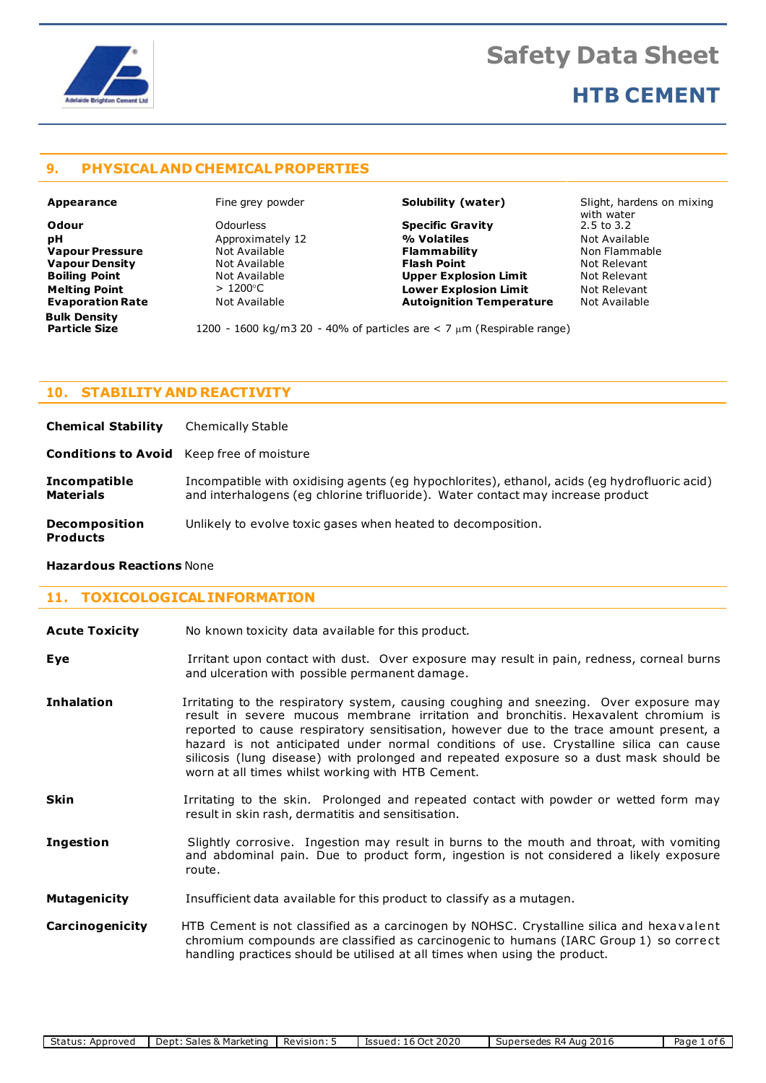

## **HTB CEMENT**

## **9. PHYSICALAND CHEMICALPROPERTIES**

**Vapour Density Bulk Density**

**Odour** Odourless **Specific Gravity** 2.5 to 3.2 **pH Approximately 12 4 % Volatiles** Mot Available **Vapour Pressure Not Available Commability Flammability** and Mon Flammable Non Flammable **Non-** Not Relevant **Non-** Not Relevant **Boiling Point Not Available <b>Upper Explosion Limit** Not Relevant **Not Relevant Not Relevant Not Relevant Not Relevant Melting Point** > 1200C **Lower Explosion Limit** Not Relevant **Evaporation Rate** Not Available **Autoignition Temperature** Not Available

**Appearance** Fine grey powder **Solubility (water)** Slight, hardens on mixing with water

1200 - 1600 kg/m3 20 - 40% of particles are < 7 um (Respirable range)

## **10 . STABILITY AND REACTIVITY**

**Chemical Stability** Chemically Stable

**Conditions to Avoid** Keep free of moisture

**Incompatible** Incompatible with oxidising agents (eg hypochlorites), ethanol, acids (eg hydrofluoric acid) **Materials** and interhalogens (eg chlorine trifluoride). Water contact may increase product

**Decomposition** Unlikely to evolve toxic gases when heated to decomposition.

## **Products**

## **Hazardous Reactions** None

## **11 . TOXICOLOGICALINFORMATION**

| <b>Acute Toxicity</b> | No known toxicity data available for this product. |
|-----------------------|----------------------------------------------------|
|-----------------------|----------------------------------------------------|

| Eye | Irritant upon contact with dust. Over exposure may result in pain, redness, corneal burns |  |  |
|-----|-------------------------------------------------------------------------------------------|--|--|
|     | and ulceration with possible permanent damage.                                            |  |  |

**Inhalation I**rritating to the respiratory system, causing coughing and sneezing. Over exposure may result in severe mucous membrane irritation and bronchitis. Hexavalent chromium is reported to cause respiratory sensitisation, however due to the trace amount present, a hazard is not anticipated under normal conditions of use. Crystalline silica can cause silicosis (lung disease) with prolonged and repeated exposure so a dust mask should be worn at all times whilst working with HTB Cement.

**Skin I**rritating to the skin. Prolonged and repeated contact with powder or wetted form may result in skin rash, dermatitis and sensitisation.

**Ingestion** Slightly corrosive. Ingestion may result in burns to the mouth and throat, with vomiting and abdominal pain. Due to product form, ingestion is not considered a likely exposure route.

**Mutagenicity** Insufficient data available for this product to classify as a mutagen.

**Carcinogenicity** HTB Cement is not classified as a carcinogen by NOHSC. Crystalline silica and hexavalent chromium compounds are classified as carcinogenic to humans (IARC Group 1) so correct handling practices should be utilised at all times when using the product.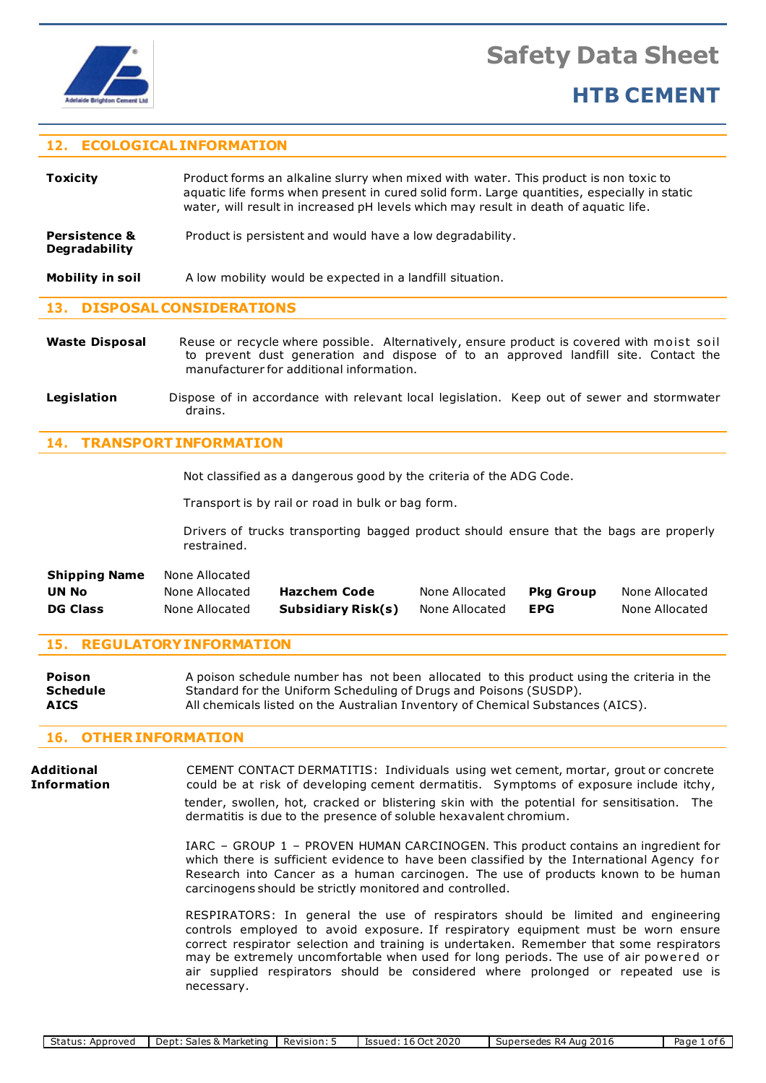

## **12 . ECOLOGICALINFORMATION**

| <b>Toxicity</b>                                  | Product forms an alkaline slurry when mixed with water. This product is non toxic to<br>aquatic life forms when present in cured solid form. Large quantities, especially in static<br>water, will result in increased pH levels which may result in death of aquatic life.<br>Product is persistent and would have a low degradability. |  |  |  |
|--------------------------------------------------|------------------------------------------------------------------------------------------------------------------------------------------------------------------------------------------------------------------------------------------------------------------------------------------------------------------------------------------|--|--|--|
| <b>Persistence &amp;</b><br><b>Degradability</b> |                                                                                                                                                                                                                                                                                                                                          |  |  |  |
| Mobility in soil                                 | A low mobility would be expected in a landfill situation.                                                                                                                                                                                                                                                                                |  |  |  |
| 13. DISPOSAL CONSIDERATIONS                      |                                                                                                                                                                                                                                                                                                                                          |  |  |  |

## **Waste Disposal** Reuse or recycle where possible. Alternatively, ensure product is covered with moist soil to prevent dust generation and dispose of to an approved landfill site. Contact the manufacturer for additional information.

**Legislation** Dispose of in accordance with relevant local legislation. Keep out of sewer and stormwater drains.

## **14 . TRANSPORTINFORMATION**

Not classified as a dangerous good by the criteria of the ADG Code.

Transport is by rail or road in bulk or bag form.

Drivers of trucks transporting bagged product should ensure that the bags are properly restrained.

| <b>DG Class</b>      | None Allocated | Subsidiary Risk(s) | None Allocated | <b>EPG</b>       | None Allocated |
|----------------------|----------------|--------------------|----------------|------------------|----------------|
| UN No                | None Allocated | Hazchem Code       | None Allocated | <b>Pka Group</b> | None Allocated |
| <b>Shipping Name</b> | None Allocated |                    |                |                  |                |

## **15 . REGULATORYINFORMATION**

| Poison      | A poison schedule number has not been allocated to this product using the criteria in the |
|-------------|-------------------------------------------------------------------------------------------|
| Schedule    | Standard for the Uniform Scheduling of Drugs and Poisons (SUSDP).                         |
| <b>AICS</b> | All chemicals listed on the Australian Inventory of Chemical Substances (AICS).           |

## **16 . OTHERINFORMATION**

**Additional** CEMENT CONTACT DERMATITIS: Individuals using wet cement, mortar, grout or concrete **Information** could be at risk of developing cement dermatitis. Symptoms of exposure include itchy,

 tender, swollen, hot, cracked or blistering skin with the potential for sensitisation. The dermatitis is due to the presence of soluble hexavalent chromium.

IARC – GROUP 1 – PROVEN HUMAN CARCINOGEN. This product contains an ingredient for which there is sufficient evidence to have been classified by the International Agency for Research into Cancer as a human carcinogen. The use of products known to be human carcinogens should be strictly monitored and controlled.

RESPIRATORS: In general the use of respirators should be limited and engineering controls employed to avoid exposure. If respiratory equipment must be worn ensure correct respirator selection and training is undertaken. Remember that some respirators may be extremely uncomfortable when used for long periods. The use of air powered or air supplied respirators should be considered where prolonged or repeated use is necessary.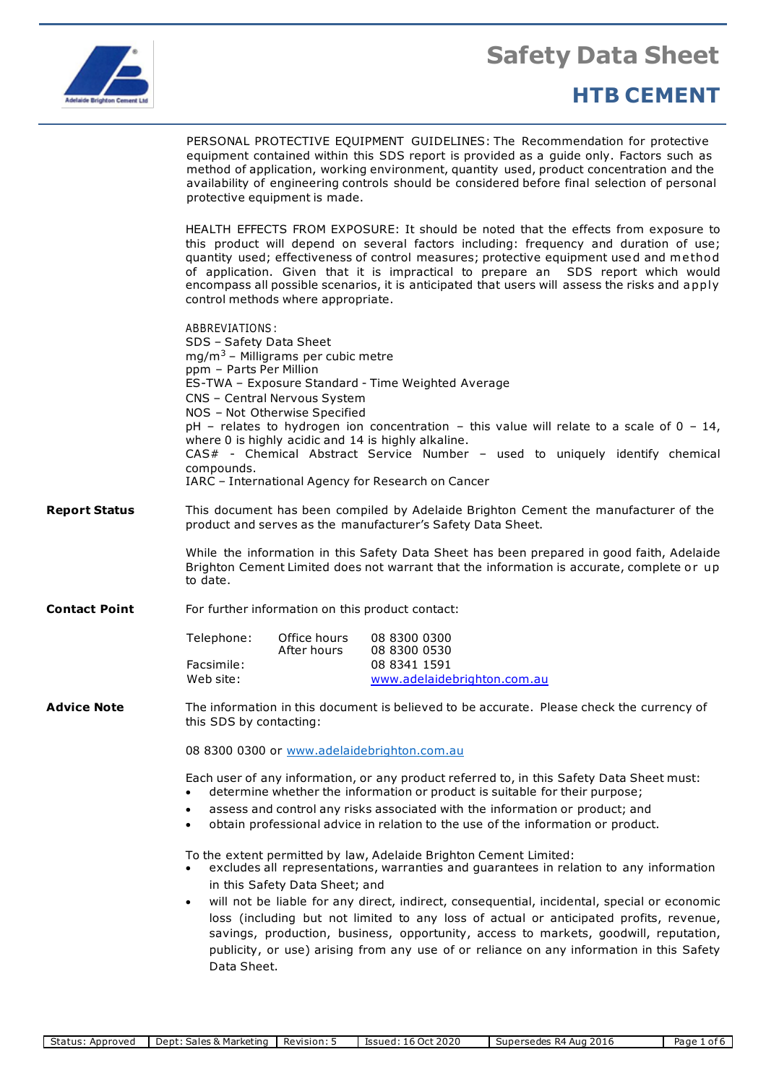

# **HTB CEMENT**

PERSONAL PROTECTIVE EQUIPMENT GUIDELINES: The Recommendation for protective equipment contained within this SDS report is provided as a guide only. Factors such as method of application, working environment, quantity used, product concentration and the availability of engineering controls should be considered before final selection of personal protective equipment is made.

HEALTH EFFECTS FROM EXPOSURE: It should be noted that the effects from exposure to this product will depend on several factors including: frequency and duration of use; quantity used; effectiveness of control measures; protective equipment used and method of application. Given that it is impractical to prepare an SDS report which would encompass all possible scenarios, it is anticipated that users will assess the risks and a pply control methods where appropriate.

ABBREVIATIONS : SDS – Safety Data Sheet  $mg/m<sup>3</sup>$  – Milligrams per cubic metre ppm – Parts Per Million ES-TWA – Exposure Standard - Time Weighted Average CNS – Central Nervous System NOS – Not Otherwise Specified  $pH$  – relates to hydrogen ion concentration – this value will relate to a scale of 0 – 14, where 0 is highly acidic and 14 is highly alkaline. CAS# - Chemical Abstract Service Number – used to uniquely identify chemical compounds. IARC – International Agency for Research on Cancer **Report Status** This document has been compiled by Adelaide Brighton Cement the manufacturer of the product and serves as the manufacturer's Safety Data Sheet. While the information in this Safety Data Sheet has been prepared in good faith, Adelaide Brighton Cement Limited does not warrant that the information is accurate, complete or up to date. **Contact Point** For further information on this product contact: Telephone: Office hours 08 8300 0300 08 8300 0530 Facsimile: 08 8341 1591 Web site: [www.adelaidebrighton.com.au](http://www.adelaidebrighton.com.au/) **Advice Note** The information in this document is believed to be accurate. Please check the currency of this SDS by contacting: 08 8300 0300 or [www.adelaidebrighton.com.au](http://www.adelaidebrighton.com.au/) Each user of any information, or any product referred to, in this Safety Data Sheet must: • determine whether the information or product is suitable for their purpose; • assess and control any risks associated with the information or product; and • obtain professional advice in relation to the use of the information or product. To the extent permitted by law, Adelaide Brighton Cement Limited: • excludes all representations, warranties and guarantees in relation to any information in this Safety Data Sheet; and • will not be liable for any direct, indirect, consequential, incidental, special or economic

loss (including but not limited to any loss of actual or anticipated profits, revenue, savings, production, business, opportunity, access to markets, goodwill, reputation, publicity, or use) arising from any use of or reliance on any information in this Safety Data Sheet.